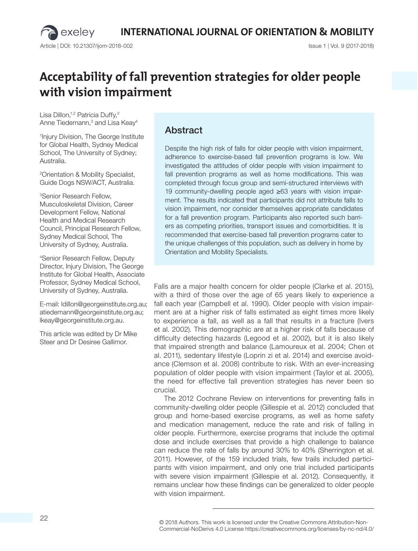Article | DOI: 10.21307/ijom-2018-002 Issue 1 | Vol. 9 (2017-2018)

exeley

# **Acceptability of fall prevention strategies for older people with vision impairment**

Lisa Dillon,<sup>1,2</sup> Patricia Duffy,<sup>2</sup> Anne Tiedemann,<sup>3</sup> and Lisa Keay<sup>4</sup>

1 Injury Division, The George Institute for Global Health, Sydney Medical School, The University of Sydney; Australia.

2 Orientation & Mobility Specialist, Guide Dogs NSW/ACT, Australia.

3Senior Research Fellow, Musculoskeletal Division, Career Development Fellow, National Health and Medical Research Council, Principal Research Fellow, Sydney Medical School, The University of Sydney, Australia.

4Senior Research Fellow, Deputy Director, Injury Division, The George Institute for Global Health, Associate Professor, Sydney Medical School, University of Sydney, Australia.

E-mail: ldillon@georgeinstitute.org.au; atiedemann@georgeinstitute.org.au; lkeay@georgeinstitute.org.au.

This article was edited by Dr Mike Steer and Dr Desiree Gallimor.

# Abstract

Despite the high risk of falls for older people with vision impairment, adherence to exercise-based fall prevention programs is low. We investigated the attitudes of older people with vision impairment to fall prevention programs as well as home modifications. This was completed through focus group and semi-structured interviews with 19 community-dwelling people aged ≥63 years with vision impairment. The results indicated that participants did not attribute falls to vision impairment, nor consider themselves appropriate candidates for a fall prevention program. Participants also reported such barriers as competing priorities, transport issues and comorbidities. It is recommended that exercise-based fall prevention programs cater to the unique challenges of this population, such as delivery in home by Orientation and Mobility Specialists.

Falls are a major health concern for older people (Clarke et al. 2015), with a third of those over the age of 65 years likely to experience a fall each year (Campbell et al. 1990). Older people with vision impairment are at a higher risk of falls estimated as eight times more likely to experience a fall, as well as a fall that results in a fracture (Ivers et al. 2002). This demographic are at a higher risk of falls because of difficulty detecting hazards (Legood et al. 2002), but it is also likely that impaired strength and balance (Lamoureux et al. 2004; Chen et al. 2011), sedentary lifestyle (Loprin zi et al. 2014) and exercise avoidance (Clemson et al. 2008) contribute to risk. With an ever-increasing population of older people with vision impairment (Taylor et al. 2005), the need for effective fall prevention strategies has never been so crucial.

The 2012 Cochrane Review on interventions for preventing falls in community-dwelling older people (Gillespie et al. 2012) concluded that group and home-based exercise programs, as well as home safety and medication management, reduce the rate and risk of falling in older people. Furthermore, exercise programs that include the optimal dose and include exercises that provide a high challenge to balance can reduce the rate of falls by around 30% to 40% (Sherrington et al. 2011). However, of the 159 included trials, few trails included participants with vision impairment, and only one trial included participants with severe vision impairment (Gillespie et al. 2012). Consequently, it remains unclear how these findings can be generalized to older people with vision impairment.

<sup>© 2018</sup> Authors. This work is licensed under the Creative Commons Attribution-Non-Commercial-NoDerivs 4.0 License https://creativecommons.org/licenses/by-nc-nd/4.0/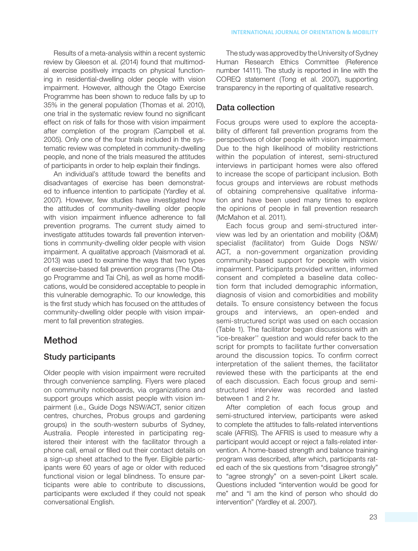Results of a meta-analysis within a recent systemic review by Gleeson et al. (2014) found that multimodal exercise positively impacts on physical functioning in residential-dwelling older people with vision impairment. However, although the Otago Exercise Programme has been shown to reduce falls by up to 35% in the general population (Thomas et al. 2010), one trial in the systematic review found no significant effect on risk of falls for those with vision impairment after completion of the program (Campbell et al. 2005). Only one of the four trials included in the systematic review was completed in community-dwelling people, and none of the trials measured the attitudes of participants in order to help explain their findings.

An individual's attitude toward the benefits and disadvantages of exercise has been demonstrated to influence intention to participate (Yardley et al. 2007). However, few studies have investigated how the attitudes of community-dwelling older people with vision impairment influence adherence to fall prevention programs. The current study aimed to investigate attitudes towards fall prevention interventions in community-dwelling older people with vision impairment. A qualitative approach (Vaismoradi et al. 2013) was used to examine the ways that two types of exercise-based fall prevention programs (The Otago Programme and Tai Chi), as well as home modifications, would be considered acceptable to people in this vulnerable demographic. To our knowledge, this is the first study which has focused on the attitudes of community-dwelling older people with vision impairment to fall prevention strategies.

# Method

#### Study participants

Older people with vision impairment were recruited through convenience sampling. Flyers were placed on community noticeboards, via organizations and support groups which assist people with vision impairment (i.e., Guide Dogs NSW/ACT, senior citizen centres, churches, Probus groups and gardening groups) in the south-western suburbs of Sydney, Australia. People interested in participating registered their interest with the facilitator through a phone call, email or filled out their contact details on a sign-up sheet attached to the flyer. Eligible participants were 60 years of age or older with reduced functional vision or legal blindness. To ensure participants were able to contribute to discussions, participants were excluded if they could not speak conversational English.

The study was approved by the University of Sydney Human Research Ethics Committee (Reference number 14111). The study is reported in line with the COREQ statement (Tong et al. 2007), supporting transparency in the reporting of qualitative research.

### Data collection

Focus groups were used to explore the acceptability of different fall prevention programs from the perspectives of older people with vision impairment. Due to the high likelihood of mobility restrictions within the population of interest, semi-structured interviews in participant homes were also offered to increase the scope of participant inclusion. Both focus groups and interviews are robust methods of obtaining comprehensive qualitative information and have been used many times to explore the opinions of people in fall prevention research (McMahon et al. 2011).

Each focus group and semi-structured interview was led by an orientation and mobility (O&M) specialist (facilitator) from Guide Dogs NSW/ ACT, a non-government organization providing community-based support for people with vision impairment. Participants provided written, informed consent and completed a baseline data collection form that included demographic information, diagnosis of vision and comorbidities and mobility details. To ensure consistency between the focus groups and interviews, an open-ended and semi-structured script was used on each occasion (Table 1). The facilitator began discussions with an "ice-breaker'' question and would refer back to the script for prompts to facilitate further conversation around the discussion topics. To confirm correct interpretation of the salient themes, the facilitator reviewed these with the participants at the end of each discussion. Each focus group and semistructured interview was recorded and lasted between 1 and 2 hr.

After completion of each focus group and semi-structured interview, participants were asked to complete the attitudes to falls-related interventions scale (AFRIS). The AFRIS is used to measure why a participant would accept or reject a falls-related intervention. A home-based strength and balance training program was described, after which, participants rated each of the six questions from "disagree strongly" to "agree strongly" on a seven-point Likert scale. Questions included "intervention would be good for me" and "I am the kind of person who should do intervention" (Yardley et al. 2007).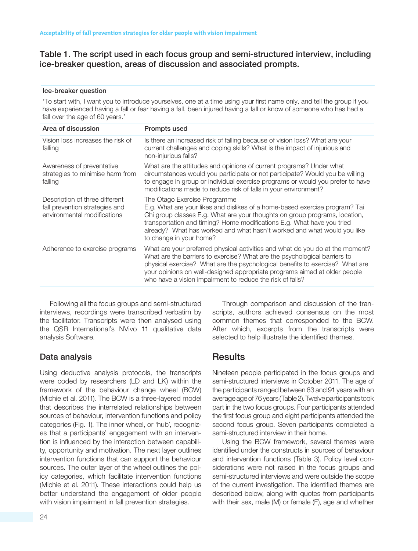#### Table 1. The script used in each focus group and semi-structured interview, including ice-breaker question, areas of discussion and associated prompts.

#### Ice-breaker question

'To start with, I want you to introduce yourselves, one at a time using your first name only, and tell the group if you have experienced having a fall or fear having a fall, been injured having a fall or know of someone who has had a fall over the age of 60 years.'

| Area of discussion                                                                              | <b>Prompts used</b>                                                                                                                                                                                                                                                                                                                                                                  |
|-------------------------------------------------------------------------------------------------|--------------------------------------------------------------------------------------------------------------------------------------------------------------------------------------------------------------------------------------------------------------------------------------------------------------------------------------------------------------------------------------|
| Vision loss increases the risk of<br>falling                                                    | Is there an increased risk of falling because of vision loss? What are your<br>current challenges and coping skills? What is the impact of injurious and<br>non-injurious falls?                                                                                                                                                                                                     |
| Awareness of preventative<br>strategies to minimise harm from<br>falling                        | What are the attitudes and opinions of current programs? Under what<br>circumstances would you participate or not participate? Would you be willing<br>to engage in group or individual exercise programs or would you prefer to have<br>modifications made to reduce risk of falls in your environment?                                                                             |
| Description of three different<br>fall prevention strategies and<br>environmental modifications | The Otago Exercise Programme<br>E.g. What are your likes and dislikes of a home-based exercise program? Tai<br>Chi group classes E.g. What are your thoughts on group programs, location,<br>transportation and timing? Home modifications E.g. What have you tried<br>already? What has worked and what hasn't worked and what would you like<br>to change in your home?            |
| Adherence to exercise programs                                                                  | What are your preferred physical activities and what do you do at the moment?<br>What are the barriers to exercise? What are the psychological barriers to<br>physical exercise? What are the psychological benefits to exercise? What are<br>your opinions on well-designed appropriate programs aimed at older people<br>who have a vision impairment to reduce the risk of falls? |

Following all the focus groups and semi-structured interviews, recordings were transcribed verbatim by the facilitator. Transcripts were then analysed using the QSR International's NVivo 11 qualitative data analysis Software.

#### Data analysis

Using deductive analysis protocols, the transcripts were coded by researchers (LD and LK) within the framework of the behaviour change wheel (BCW) (Michie et al. 2011). The BCW is a three-layered model that describes the interrelated relationships between sources of behaviour, intervention functions and policy categories (Fig. 1). The inner wheel, or 'hub', recognizes that a participants' engagement with an intervention is influenced by the interaction between capability, opportunity and motivation. The next layer outlines intervention functions that can support the behaviour sources. The outer layer of the wheel outlines the policy categories, which facilitate intervention functions (Michie et al. 2011). These interactions could help us better understand the engagement of older people with vision impairment in fall prevention strategies.

Through comparison and discussion of the transcripts, authors achieved consensus on the most common themes that corresponded to the BCW. After which, excerpts from the transcripts were selected to help illustrate the identified themes.

# **Results**

Nineteen people participated in the focus groups and semi-structured interviews in October 2011. The age of the participants ranged between 63 and 91 years with an average age of 76 years (Table 2). Twelve participants took part in the two focus groups. Four participants attended the first focus group and eight participants attended the second focus group. Seven participants completed a semi-structured interview in their home.

Using the BCW framework, several themes were identified under the constructs in sources of behaviour and intervention functions (Table 3). Policy level considerations were not raised in the focus groups and semi-structured interviews and were outside the scope of the current investigation. The identified themes are described below, along with quotes from participants with their sex, male (M) or female (F), age and whether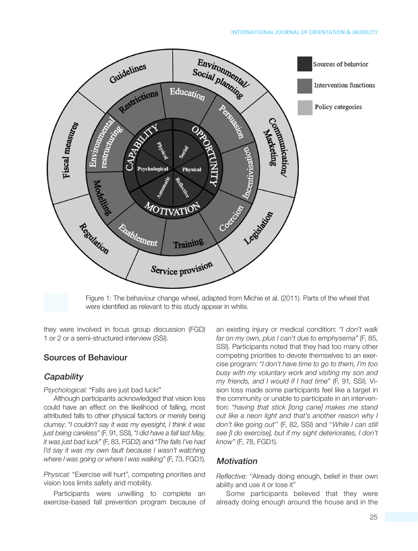

Figure 1: The behaviour change wheel, adapted from Michie et al. (2011). Parts of the wheel that were identified as relevant to this study appear in white.

they were involved in focus group discussion (FGD) 1 or 2 or a semi-structured interview (SSI).

#### Sources of Behaviour

#### **Capability**

*Psychological:* "Falls are just bad luck!"

Although participants acknowledged that vision loss could have an effect on the likelihood of falling, most attributed falls to other physical factors or merely being clumsy: "*I couldn't say it was my eyesight, I think it was just being careless"* (F, 91, SSI), "*I did have a fall last May, it was just bad luck"* (F, 83, FGD2) and "*The falls I've had I'd say it was my own fault because I wasn't watching where I was going or where I was walking"* (F, 73, FGD1).

*Physical:* "Exercise will hurt", competing priorities and vision loss limits safety and mobility.

Participants were unwilling to complete an exercise-based fall prevention program because of an existing injury or medical condition: "*I don't walk far on my own, plus I can't due to emphysema"* (F, 85, SSI). Participants noted that they had too many other competing priorities to devote themselves to an exercise program: "*I don't have time to go to them, I'm too busy with my voluntary work and visiting my son and my friends, and I would if I had time"* (F, 91, SSI). Vision loss made some participants feel like a target in the community or unable to participate in an intervention: "*having that stick [long cane] makes me stand out like a neon light and that's another reason why I don't like going out*'' (F, 82, SSI) and ''*While I can still see [I do exercise], but if my sight deteriorates, I don't know"* (F, 78, FGD1).

#### **Motivation**

*Reflective*: ''Already doing enough, belief in their own ability and use it or lose it"

Some participants believed that they were already doing enough around the house and in the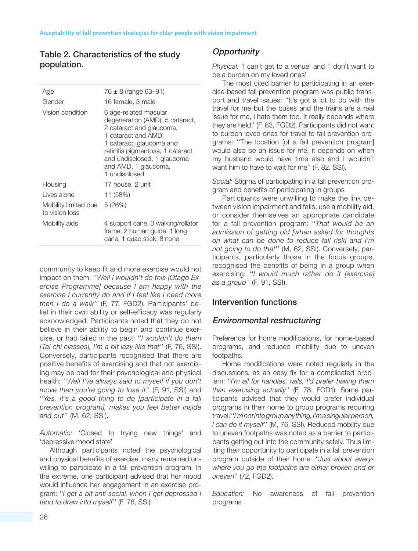## Table 2. Characteristics of the study population.

| Age                                    | $76 \pm 8$ (range 63-91)                                                                                                                                                                                                                            |  |
|----------------------------------------|-----------------------------------------------------------------------------------------------------------------------------------------------------------------------------------------------------------------------------------------------------|--|
| Gender                                 | 16 female, 3 male                                                                                                                                                                                                                                   |  |
| Vision condition                       | 6 age-related macular<br>degeneration (AMD), 5 cataract,<br>2 cataract and glaucoma,<br>1 cataract and AMD,<br>1 cataract, glaucoma and<br>retinitis pigmentosa, 1 cataract<br>and undisclosed, 1 glaucoma<br>and AMD, 1 glaucoma,<br>1 undisclosed |  |
| Housing                                | 17 house, 2 unit                                                                                                                                                                                                                                    |  |
| Lives alone                            | 11 (58%)                                                                                                                                                                                                                                            |  |
| Mobility limited due<br>to vision loss | 5(26%)                                                                                                                                                                                                                                              |  |
| Mobility aids                          | 4 support cane, 3 walking/rollator<br>frame, 2 human guide, 1 long<br>cane, 1 quad stick, 8 none                                                                                                                                                    |  |

community to keep fit and more exercise would not impact on them: ''*Well I wouldn't do this [Otago Exercise Programme] because I am happy with the exercise I currently do and if I feel like I need more then I do a walk''* (F, 77, FGD2). Participants' belief in their own ability or self-efficacy was regularly acknowledged. Participants noted that they do not believe in their ability to begin and continue exercise, or had failed in the past: ''*I wouldn't do them [Tai chi classes], I'm a bit lazy like that*'' (F, 76, SSI). Conversely, participants recognised that there are positive benefits of exercising and that not exercising may be bad for their psychological and physical health: ''*Well I've always said to myself if you don't move then you're going to lose it*'' (F, 91, SSI) and ''*Yes, it's a good thing to do [participate in a fall prevention program], makes you feel better inside and out*'' (M, 62, SSI).

*Automatic:* 'Closed to trying new things' and 'depressive mood state'

Although participants noted the psychological and physical benefits of exercise, many remained unwilling to participate in a fall prevention program. In the extreme, one participant advised that her mood would influence her engagement in an exercise program: ''*I get a bit anti-social, when I get depressed I tend to draw into myself*'' (F, 76, SSI).

# **Opportunity**

*Physical:* 'I can't get to a venue' and 'I don't want to be a burden on my loved ones'

The most cited barrier to participating in an exercise-based fall prevention program was public transport and travel issues: ''It's got a lot to do with the travel for me but the buses and the trains are a real issue for me, I hate them too. It really depends where they are held'' (F, 83, FGD2). Participants did not want to burden loved ones for travel to fall prevention programs: ''The location [of a fall prevention program] would also be an issue for me, it depends on when my husband would have time also and I wouldn't want him to have to wait for me'' (F, 82, SSI).

*Social:* Stigma of participating in a fall prevention program and benefits of participating in groups

Participants were unwilling to make the link between vision impairment and falls, use a mobility aid, or consider themselves an appropriate candidate for a fall prevention program: ''*That would be an admission of getting old [when asked for thoughts on what can be done to reduce fall risk] and I'm not going to do that*'' (M, 62, SSI). Conversely, participants, particularly those in the focus groups, recognised the benefits of being in a group when exercising: ''*I would much rather do it [exercise] as a group*'' (F, 91, SSI).

#### Intervention functions

#### Environmental restructuring

Preference for home modifications, for home-based programs, and reduced mobility due to uneven footpaths.

Home modifications were noted regularly in the discussions, as an easy fix for a complicated problem: ''*I'm all for handles, rails, I'd prefer having them than exercising actually*'' (F, 78, FGD1). Some participants advised that they would prefer individual programs in their home to group programs requiring travel: ''*I'm not into group anything, I'm a singular person, I can do it myself*'' (M, 76, SSI). Reduced mobility due to uneven footpaths was noted as a barrier to participants getting out into the community safely. Thus limiting their opportunity to participate in a fall prevention program outside of their home: ''*Just about everywhere you go the footpaths are either broken and or uneven*'' (72, FGD2).

*Education:* No awareness of fall prevention programs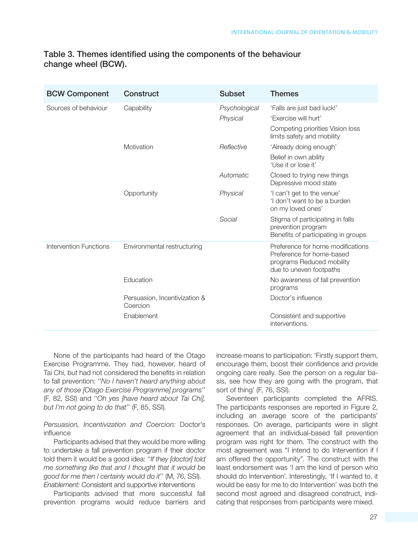#### Table 3. Themes identified using the components of the behaviour change wheel (BCW).

| <b>BCW Component</b>          | Construct                                 | <b>Subset</b> | <b>Themes</b>                                                                                                          |
|-------------------------------|-------------------------------------------|---------------|------------------------------------------------------------------------------------------------------------------------|
| Sources of behaviour          | Capability                                | Psychological | 'Falls are just bad luck!'                                                                                             |
|                               |                                           | Physical      | 'Fxercise will hurt'                                                                                                   |
|                               |                                           |               | Competing priorities Vision loss<br>limits safety and mobility                                                         |
|                               | Motivation                                | Reflective    | 'Already doing enough'                                                                                                 |
|                               |                                           |               | Belief in own ability<br>'Use it or lose it'                                                                           |
|                               |                                           | Automatic     | Closed to trying new things<br>Depressive mood state                                                                   |
|                               | Opportunity                               | Physical      | 'I can't get to the venue'<br>'I don't want to be a burden<br>on my loved ones'                                        |
|                               |                                           | Social        | Stigma of participating in falls<br>prevention program<br>Benefits of participating in groups                          |
| <b>Intervention Functions</b> | Environmental restructuring               |               | Preference for home modifications<br>Preference for home-based<br>programs Reduced mobility<br>due to uneven footpaths |
|                               | Education                                 |               | No awareness of fall prevention<br>programs                                                                            |
|                               | Persuasion, Incentivization &<br>Coercion |               | Doctor's influence                                                                                                     |
|                               | Enablement                                |               | Consistent and supportive<br>interventions.                                                                            |

None of the participants had heard of the Otago Exercise Programme. They had, however, heard of Tai Chi, but had not considered the benefits in relation to fall prevention: ''*No I haven't heard anything about any of those [Otago Exercise Programme] programs*'' (F, 82, SSI) and ''*Oh yes [have heard about Tai Chi], but I'm not going to do that*'' (F, 85, SSI).

*Persuasion, Incentivization and Coercion:* Doctor's influence

Participants advised that they would be more willing to undertake a fall prevention program if their doctor told them it would be a good idea: ''*If they [doctor] told me something like that and I thought that it would be good for me then I certainly would do it*'' (M, 76, SSI). *Enablement:* Consistent and supportive interventions

Participants advised that more successful fall prevention programs would reduce barriers and increase means to participation: 'Firstly support them, encourage them, boost their confidence and provide ongoing care really. See the person on a regular basis, see how they are going with the program, that sort of thing' (F, 76, SSI).

Seventeen participants completed the AFRIS. The participants responses are reported in Figure 2, including an average score of the participants' responses. On average, participants were in slight agreement that an individual-based fall prevention program was right for them. The construct with the most agreement was "I intend to do Intervention if I am offered the opportunity". The construct with the least endorsement was 'I am the kind of person who should do Intervention'. Interestingly, 'If I wanted to, it would be easy for me to do Intervention' was both the second most agreed and disagreed construct, indicating that responses from participants were mixed.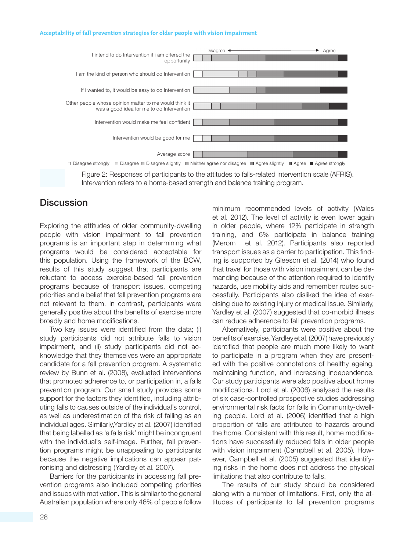#### **Acceptability of fall prevention strategies for older people with vision impairment**



Figure 2: Responses of participants to the attitudes to falls-related intervention scale (AFRIS). Intervention refers to a home-based strength and balance training program.

# **Discussion**

Exploring the attitudes of older community-dwelling people with vision impairment to fall prevention programs is an important step in determining what programs would be considered acceptable for this population. Using the framework of the BCW, results of this study suggest that participants are reluctant to access exercise-based fall prevention programs because of transport issues, competing priorities and a belief that fall prevention programs are not relevant to them. In contrast, participants were generally positive about the benefits of exercise more broadly and home modifications.

Two key issues were identified from the data; (i) study participants did not attribute falls to vision impairment, and (ii) study participants did not acknowledge that they themselves were an appropriate candidate for a fall prevention program. A systematic review by Bunn et al. (2008), evaluated interventions that promoted adherence to, or participation in, a falls prevention program. Our small study provides some support for the factors they identified, including attributing falls to causes outside of the individual's control, as well as underestimation of the risk of falling as an individual ages. Similarly,Yardley et al. (2007) identified that being labelled as 'a falls risk' might be incongruent with the individual's self-image. Further, fall prevention programs might be unappealing to participants because the negative implications can appear patronising and distressing (Yardley et al. 2007).

Barriers for the participants in accessing fall prevention programs also included competing priorities and issues with motivation. This is similar to the general Australian population where only 46% of people follow minimum recommended levels of activity (Wales et al. 2012). The level of activity is even lower again in older people, where 12% participate in strength training, and 6% participate in balance training (Merom et al. 2012). Participants also reported transport issues as a barrier to participation. This finding is supported by Gleeson et al. (2014) who found that travel for those with vision impairment can be demanding because of the attention required to identify hazards, use mobility aids and remember routes successfully. Participants also disliked the idea of exercising due to existing injury or medical issue. Similarly, Yardley et al. (2007) suggested that co-morbid illness can reduce adherence to fall prevention programs.

Alternatively, participants were positive about the benefits of exercise. Yardley et al. (2007) have previously identified that people are much more likely to want to participate in a program when they are presented with the positive connotations of healthy ageing, maintaining function, and increasing independence. Our study participants were also positive about home modifications. Lord et al. (2006) analysed the results of six case-controlled prospective studies addressing environmental risk facts for falls in Community-dwelling people. Lord et al. (2006) identified that a high proportion of falls are attributed to hazards around the home. Consistent with this result, home modifications have successfully reduced falls in older people with vision impairment (Campbell et al. 2005). However, Campbell et al. (2005) suggested that identifying risks in the home does not address the physical limitations that also contribute to falls.

The results of our study should be considered along with a number of limitations. First, only the attitudes of participants to fall prevention programs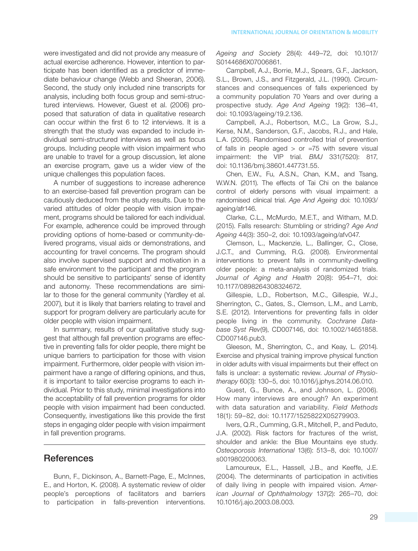were investigated and did not provide any measure of actual exercise adherence. However, intention to participate has been identified as a predictor of immediate behaviour change (Webb and Sheeran, 2006). Second, the study only included nine transcripts for analysis, including both focus group and semi-structured interviews. However, Guest et al. (2006) proposed that saturation of data in qualitative research can occur within the first 6 to 12 interviews. It is a strength that the study was expanded to include individual semi-structured interviews as well as focus groups. Including people with vision impairment who are unable to travel for a group discussion, let alone an exercise program, gave us a wider view of the unique challenges this population faces.

A number of suggestions to increase adherence to an exercise-based fall prevention program can be cautiously deduced from the study results. Due to the varied attitudes of older people with vision impairment, programs should be tailored for each individual. For example, adherence could be improved through providing options of home-based or community-delivered programs, visual aids or demonstrations, and accounting for travel concerns. The program should also involve supervised support and motivation in a safe environment to the participant and the program should be sensitive to participants' sense of identity and autonomy. These recommendations are similar to those for the general community (Yardley et al. 2007), but it is likely that barriers relating to travel and support for program delivery are particularly acute for older people with vision impairment.

In summary, results of our qualitative study suggest that although fall prevention programs are effective in preventing falls for older people, there might be unique barriers to participation for those with vision impairment. Furthermore, older people with vision impairment have a range of differing opinions, and thus, it is important to tailor exercise programs to each individual. Prior to this study, minimal investigations into the acceptability of fall prevention programs for older people with vision impairment had been conducted. Consequently, investigations like this provide the first steps in engaging older people with vision impairment in fall prevention programs.

#### **References**

Bunn, F., Dickinson, A., Barnett-Page, E., McInnes, E., and Horton, K. (2008). A systematic review of older people's perceptions of facilitators and barriers to participation in falls-prevention interventions.

*Ageing and Society* 28(4): 449–72, doi: 10.1017/ S0144686X07006861.

Campbell, A.J., Borrie, M.J., Spears, G.F., Jackson, S.L., Brown, J.S., and Fitzgerald, J.L. (1990). Circumstances and consequences of falls experienced by a community population 70 Years and over during a prospective study. *Age And Ageing* 19(2): 136–41, doi: 10.1093/ageing/19.2.136.

Campbell, A.J., Robertson, M.C., La Grow, S.J., Kerse, N.M., Sanderson, G.F., Jacobs, R.J., and Hale, L.A. (2005). Randomised controlled trial of prevention of falls in people aged  $>$  or  $=75$  with severe visual impairment: the VIP trial. *BMJ* 331(7520): 817, doi: 10.1136/bmj.38601.447731.55.

Chen, E.W., Fu, A.S.N., Chan, K.M., and Tsang, W.W.N. (2011). The effects of Tai Chi on the balance control of elderly persons with visual impairment: a randomised clinical trial. *Age And Ageing* doi: 10.1093/ ageing/afr146.

Clarke, C.L., McMurdo, M.E.T., and Witham, M.D. (2015). Falls research: Stumbling or striding? *Age And Ageing* 44(3): 350–2, doi: 10.1093/ageing/afv047.

Clemson, L., Mackenzie, L., Ballinger, C., Close, J.C.T., and Cumming, R.G. (2008). Environmental interventions to prevent falls in community-dwelling older people: a meta-analysis of randomized trials. *Journal of Aging and Health* 20(8): 954–71, doi: 10.1177/0898264308324672.

Gillespie, L.D., Robertson, M.C., Gillespie, W.J., Sherrington, C., Gates, S., Clemson, L.M., and Lamb, S.E. (2012). Interventions for preventing falls in older people living in the community. *Cochrane Database Syst Rev*(9), CD007146, doi: 10.1002/14651858. CD007146.pub3.

Gleeson, M., Sherrington, C., and Keay, L. (2014). Exercise and physical training improve physical function in older adults with visual impairments but their effect on falls is unclear: a systematic review. *Journal of Physiotherapy* 60(3): 130–5, doi: 10.1016/j.jphys.2014.06.010.

Guest, G., Bunce, A., and Johnson, L. (2006). How many interviews are enough? An experiment with data saturation and variability. *Field Methods* 18(1): 59–82, doi: 10.1177/1525822X05279903.

Ivers, Q.R., Cumming, G.R., Mitchell, P., and Peduto, J.A. (2002). Risk factors for fractures of the wrist, shoulder and ankle: the Blue Mountains eye study. *Osteoporosis International* 13(6): 513–8, doi: 10.1007/ s001980200063.

Lamoureux, E.L., Hassell, J.B., and Keeffe, J.E. (2004). The determinants of participation in activities of daily living in people with impaired vision. *American Journal of Ophthalmology* 137(2): 265–70, doi: 10.1016/j.ajo.2003.08.003.